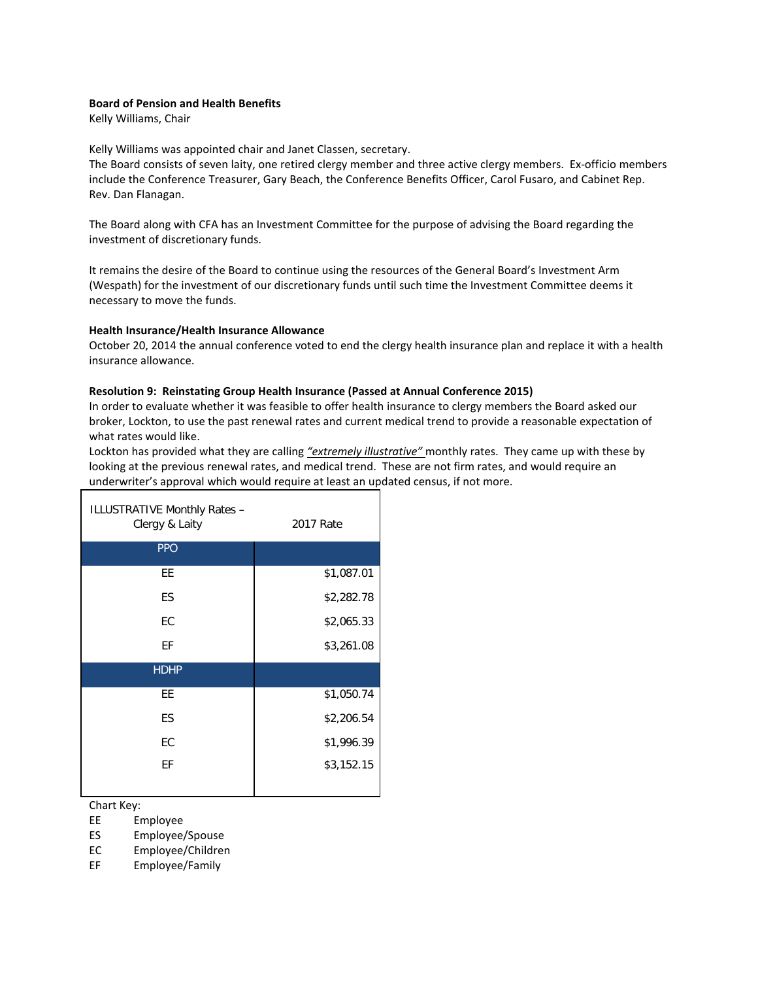## **Board of Pension and Health Benefits**

Kelly Williams, Chair

Kelly Williams was appointed chair and Janet Classen, secretary.

The Board consists of seven laity, one retired clergy member and three active clergy members. Ex-officio members include the Conference Treasurer, Gary Beach, the Conference Benefits Officer, Carol Fusaro, and Cabinet Rep. Rev. Dan Flanagan.

The Board along with CFA has an Investment Committee for the purpose of advising the Board regarding the investment of discretionary funds.

It remains the desire of the Board to continue using the resources of the General Board's Investment Arm (Wespath) for the investment of our discretionary funds until such time the Investment Committee deems it necessary to move the funds.

## **Health Insurance/Health Insurance Allowance**

October 20, 2014 the annual conference voted to end the clergy health insurance plan and replace it with a health insurance allowance.

## **Resolution 9: Reinstating Group Health Insurance (Passed at Annual Conference 2015)**

In order to evaluate whether it was feasible to offer health insurance to clergy members the Board asked our broker, Lockton, to use the past renewal rates and current medical trend to provide a reasonable expectation of what rates would like.

Lockton has provided what they are calling *"extremely illustrative"* monthly rates. They came up with these by looking at the previous renewal rates, and medical trend. These are not firm rates, and would require an underwriter's approval which would require at least an updated census, if not more.

| ILLUSTRATIVE Monthly Rates -<br>Clergy & Laity | 2017 Rate  |  |  |
|------------------------------------------------|------------|--|--|
| <b>PPO</b>                                     |            |  |  |
| ЕE                                             | \$1,087.01 |  |  |
| ES                                             | \$2,282.78 |  |  |
| EC                                             | \$2,065.33 |  |  |
| ЕF                                             | \$3,261.08 |  |  |
| <b>HDHP</b>                                    |            |  |  |
| ЕE                                             | \$1,050.74 |  |  |
| ES                                             | \$2,206.54 |  |  |
| EC                                             | \$1,996.39 |  |  |
| ЕF                                             | \$3,152.15 |  |  |
|                                                |            |  |  |

Chart Key:

EE Employee

ES Employee/Spouse

EC Employee/Children

EF Employee/Family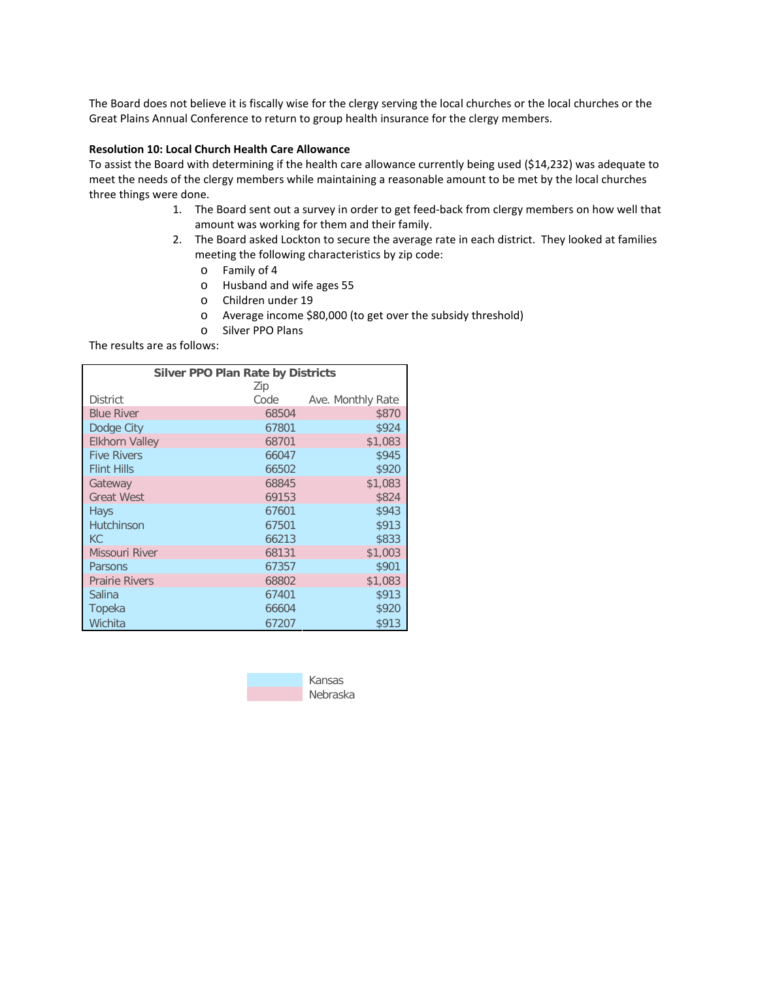The Board does not believe it is fiscally wise for the clergy serving the local churches or the local churches or the Great Plains Annual Conference to return to group health insurance for the clergy members.

## **Resolution 10: Local Church Health Care Allowance**

To assist the Board with determining if the health care allowance currently being used (\$14,232) was adequate to meet the needs of the clergy members while maintaining a reasonable amount to be met by the local churches three things were done.

- 1. The Board sent out a survey in order to get feed-back from clergy members on how well that amount was working for them and their family.
- 2. The Board asked Lockton to secure the average rate in each district. They looked at families meeting the following characteristics by zip code:
	- o Family of 4
	- o Husband and wife ages 55
	- o Children under 19
	- o Average income \$80,000 (to get over the subsidy threshold)
	- o Silver PPO Plans

The results are as follows:

| <b>Silver PPO Plan Rate by Districts</b> |       |                   |  |  |  |
|------------------------------------------|-------|-------------------|--|--|--|
|                                          | Zip   |                   |  |  |  |
| <b>District</b>                          | Code  | Ave. Monthly Rate |  |  |  |
| <b>Blue River</b>                        | 68504 | \$870             |  |  |  |
| Dodge City                               | 67801 | \$924             |  |  |  |
| <b>Elkhorn Valley</b>                    | 68701 | \$1,083           |  |  |  |
| <b>Five Rivers</b>                       | 66047 | \$945             |  |  |  |
| <b>Flint Hills</b>                       | 66502 | \$920             |  |  |  |
| Gateway                                  | 68845 | \$1,083           |  |  |  |
| <b>Great West</b>                        | 69153 | \$824             |  |  |  |
| Hays                                     | 67601 | \$943             |  |  |  |
| <b>Hutchinson</b>                        | 67501 | \$913             |  |  |  |
| KC                                       | 66213 | \$833             |  |  |  |
| <b>Missouri River</b>                    | 68131 | \$1,003           |  |  |  |
| Parsons                                  | 67357 | \$901             |  |  |  |
| <b>Prairie Rivers</b>                    | 68802 | \$1,083           |  |  |  |
| Salina                                   | 67401 | \$913             |  |  |  |
| Topeka                                   | 66604 | \$920             |  |  |  |
| Wichita                                  | 67207 | \$913             |  |  |  |

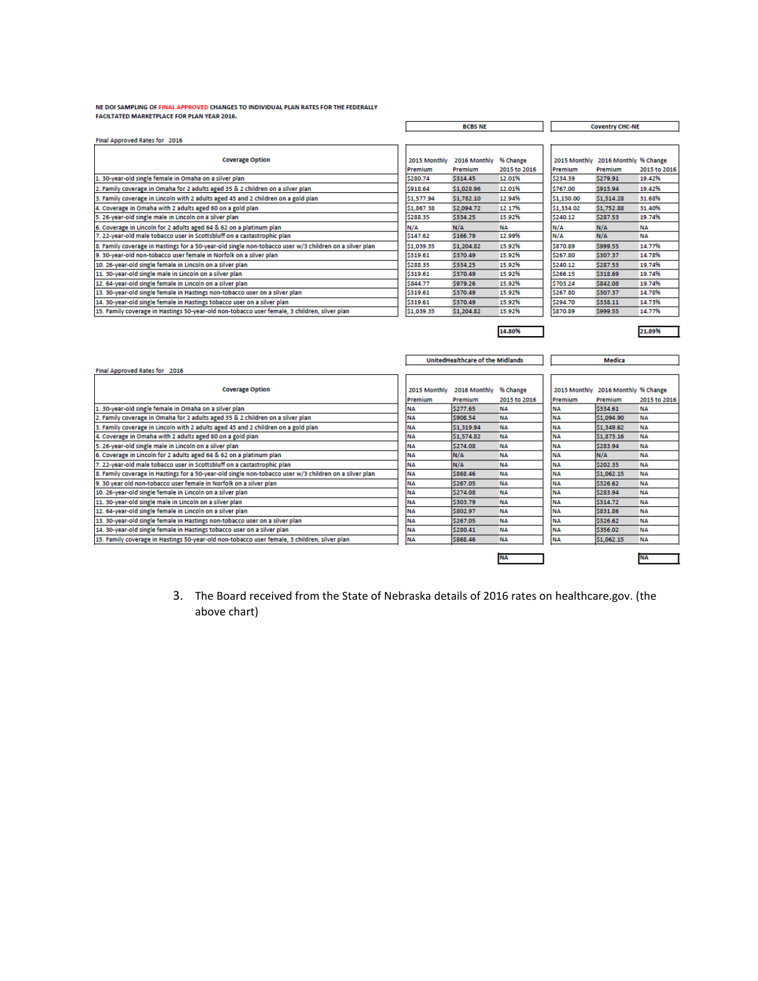NE DOI SAMPLING OF FINAL APPROVED CHANGES TO INDIVIDUAL PLAN RATES FOR THE FEDERALLY FACILTATED MARKETPLACE FOR PLAN YEAR 2016.

9. 30 year old non-tobacco user female in Norfolk on a silver plan<br>10. 26-year-old single female in Lincoln on a silver plan

11. 30-year-old single male in Lincoln on a silver plan<br>12. 64-year-old single female in Lincoln on a silver plan<br>13. 30-year-old single female in Hastings non-tobacco user on a silver plan

15. Family coverage in Hastings 50-year-old non-tobacco user female, 3 children, silver plan

14. 30-year-old single female in Hastings tobacco user on a silver plan

|                                                                                                        | <b>BCBS NE</b> |                                         | <b>Coventry CHC-NE</b> |            |                                    |              |
|--------------------------------------------------------------------------------------------------------|----------------|-----------------------------------------|------------------------|------------|------------------------------------|--------------|
| Final Approved Rates for 2016                                                                          |                |                                         |                        |            |                                    |              |
|                                                                                                        |                |                                         |                        |            |                                    |              |
| <b>Coverage Option</b>                                                                                 | 2015 Monthly   | 2016 Monthly                            | % Change               |            | 2015 Monthly 2016 Monthly % Change |              |
|                                                                                                        | Premium        | Premium                                 | 2015 to 2016           | Premium    | Premium                            | 2015 to 2016 |
| 1. 30-year-old single female in Omaha on a silver plan                                                 | \$280.74       | \$314.45                                | 12.01%                 | \$234.39   | \$279.91                           | 19.42%       |
| 2. Family coverage in Omaha for 2 adults aged 35 & 2 children on a silver plan                         | \$918.64       | \$1,028.96                              | 12.01%                 | \$767.00   | \$915.94                           | 19.42%       |
| 3. Family coverage in Lincoln with 2 adults aged 45 and 2 children on a gold plan                      | \$1.577.94     | \$1,782.10                              | 12.94%                 | \$1,150.00 | \$1,514.28                         | 31.68%       |
| 4. Coverage in Omaha with 2 adults aged 60 on a gold plan                                              | \$1,867.38     | \$2,094.72                              | 12.17%                 | \$1,334.02 | \$1,752.88                         | 31.40%       |
| 5. 26-year-old single male in Lincoln on a silver plan                                                 | \$288.35       | \$334.25                                | 15.92%                 | \$240.12   | \$287.53                           | 19.74%       |
| 6. Coverage in Lincoln for 2 adults aged 64 & 62 on a platinum plan                                    | N/A            | N/A                                     | <b>NA</b>              | N/A        | N/A                                | <b>NA</b>    |
| 7. 22-year-old male tobacco user in Scottsbluff on a castastrophic plan                                | \$147.62       | \$166.79                                | 12.99%                 | N/A        | N/A                                | NΑ           |
| 8. Family coverage in Hastings for a 50-year-old single non-tobacco user w/3 children on a silver plan | \$1,039.35     | \$1,204.82                              | 15.92%                 | \$870.89   | \$999.55                           | 14.77%       |
| 9. 30-year-old non-tobacco user female in Norfolk on a silver plan                                     | \$319.61       | \$370.49                                | 15.92%                 | \$267.80   | \$307.37                           | 14.78%       |
| 10. 26-year-old single female in Lincoln on a silver plan                                              | \$288.35       | \$334.25                                | 15.92%                 | \$240.12   | \$287.53                           | 19.74%       |
| 11. 30-year-old single male in Lincoln on a silver plan                                                | \$319.61       | \$370.49                                | 15.92%                 | \$266.15   | \$318.69                           | 19.74%       |
| 12. 64-year-old single female in Lincoln on a silver plan                                              | \$844.77       | \$979.26                                | 15.92%                 | \$703.24   | \$842.08                           | 19.74%       |
| 13. 30-year-old single female in Hastings non-tobacco user on a silver plan                            | \$319.61       | \$370.49                                | 15.92%                 | \$267.80   | \$307.37                           | 14.78%       |
|                                                                                                        |                |                                         |                        |            |                                    |              |
| 14. 30-year-old single female in Hastings tobacco user on a silver plan                                | \$319.61       | \$370.49                                | 15.92%                 | \$294.70   | \$338.11                           | 14.73%       |
| 15. Family coverage in Hastings 50-year-old non-tobacco user female, 3 children, silver plan           | \$1,039.35     | \$1,204.82                              | 15.92%                 | \$870.89   | \$999.55                           | 14.77%       |
|                                                                                                        |                |                                         |                        |            |                                    |              |
|                                                                                                        |                |                                         | 14.80%                 |            |                                    | 21.89%       |
|                                                                                                        |                |                                         |                        |            |                                    |              |
|                                                                                                        |                |                                         |                        |            |                                    |              |
|                                                                                                        |                | <b>UnitedHealthcare of the Midlands</b> |                        |            | Medica                             |              |
| Final Approved Rates for 2016                                                                          |                |                                         |                        |            |                                    |              |
|                                                                                                        |                |                                         |                        |            |                                    |              |
| <b>Coverage Option</b>                                                                                 | 2015 Monthly   | 2016 Monthly                            | % Change               |            | 2015 Monthly 2016 Monthly % Change |              |
|                                                                                                        | Premium        | Premium                                 | 2015 to 2016           | Premium    | Premium                            | 2015 to 2016 |
| 1. 30-year-old single female in Omaha on a silver plan                                                 | <b>NA</b>      | \$277.65                                | <b>NA</b>              | NΑ         | \$334.61                           | <b>NA</b>    |
| 2. Family coverage in Omaha for 2 adults aged 35 & 2 children on a silver plan                         | <b>NA</b>      | \$908.54                                | NΔ                     | NΑ         | \$1,094.90                         | <b>NA</b>    |
| 3. Family coverage in Lincoln with 2 adults aged 45 and 2 children on a gold plan                      | <b>NA</b>      | \$1.319.94                              | NΑ                     | <b>NA</b>  | \$1.349.62                         | <b>NA</b>    |
| 4. Coverage in Omaha with 2 adults aged 60 on a gold plan                                              | <b>NA</b>      | \$1,574.82                              | <b>NA</b>              | NΑ         | \$1,873.16                         | NΑ           |
| 5. 26-year-old single male in Lincoln on a silver plan                                                 | <b>NA</b>      | \$274.08                                | NΑ                     | NΑ         | \$283.94                           | <b>NA</b>    |
| 6. Coverage in Lincoln for 2 adults aged 64 & 62 on a platinum plan                                    | <b>NA</b>      | N/A                                     | <b>NA</b>              | <b>NA</b>  | N/A                                | NΔ           |
| 7. 22-year-old male tobacco user in Scottsbluff on a castastrophic plan                                | <b>NA</b>      | N/A                                     | NΑ                     | <b>NA</b>  | \$202.35                           | NΑ           |
| 8. Family coverage in Hastings for a 50-year-old single non-tobacco user w/3 children on a silver plan | <b>NA</b>      | \$868.46                                | NΔ                     | NΑ         | \$1.062.15                         | NΔ           |
| 9. 30 year old non-tobacco user female in Norfolk on a silver plan                                     | <b>NA</b>      | \$267.05                                | NΑ                     | <b>NA</b>  | \$326.62                           | NΑ           |

3. The Board received from the State of Nebraska details of 2016 rates on healthcare.gov. (the above chart)

NA<br>NA<br>NA<br>NA<br>NA<br>NA

\$274.08

\$303.79

\$802.97

\$267.05

\$280.41

\$868.46

**NA** 

**NA** 

**NA** 

**NA** 

**NA** 

**NA** 

**NA** 

NA<br>NA<br>NA

 $\frac{NA}{NA}$ 

**NA** 

٦

**NA** 

**NA** 

**NA** 

**NA** 

**NA** 

**NA** 

NA

\$283.94

\$314.72

\$831.86

\$326.62

\$356.02

\$1,062.15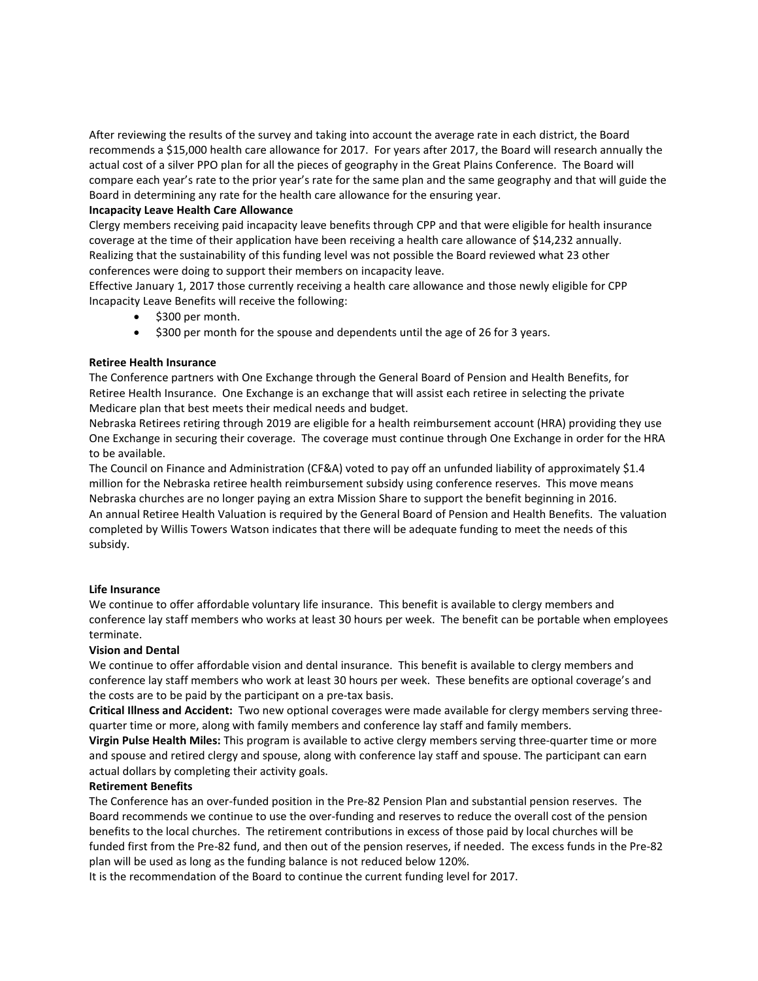After reviewing the results of the survey and taking into account the average rate in each district, the Board recommends a \$15,000 health care allowance for 2017. For years after 2017, the Board will research annually the actual cost of a silver PPO plan for all the pieces of geography in the Great Plains Conference. The Board will compare each year's rate to the prior year's rate for the same plan and the same geography and that will guide the Board in determining any rate for the health care allowance for the ensuring year.

## **Incapacity Leave Health Care Allowance**

Clergy members receiving paid incapacity leave benefits through CPP and that were eligible for health insurance coverage at the time of their application have been receiving a health care allowance of \$14,232 annually. Realizing that the sustainability of this funding level was not possible the Board reviewed what 23 other conferences were doing to support their members on incapacity leave.

Effective January 1, 2017 those currently receiving a health care allowance and those newly eligible for CPP Incapacity Leave Benefits will receive the following:

- \$300 per month.
- \$300 per month for the spouse and dependents until the age of 26 for 3 years.

## **Retiree Health Insurance**

The Conference partners with One Exchange through the General Board of Pension and Health Benefits, for Retiree Health Insurance. One Exchange is an exchange that will assist each retiree in selecting the private Medicare plan that best meets their medical needs and budget.

Nebraska Retirees retiring through 2019 are eligible for a health reimbursement account (HRA) providing they use One Exchange in securing their coverage. The coverage must continue through One Exchange in order for the HRA to be available.

The Council on Finance and Administration (CF&A) voted to pay off an unfunded liability of approximately \$1.4 million for the Nebraska retiree health reimbursement subsidy using conference reserves. This move means Nebraska churches are no longer paying an extra Mission Share to support the benefit beginning in 2016. An annual Retiree Health Valuation is required by the General Board of Pension and Health Benefits. The valuation completed by Willis Towers Watson indicates that there will be adequate funding to meet the needs of this subsidy.

## **Life Insurance**

We continue to offer affordable voluntary life insurance. This benefit is available to clergy members and conference lay staff members who works at least 30 hours per week. The benefit can be portable when employees terminate.

## **Vision and Dental**

We continue to offer affordable vision and dental insurance. This benefit is available to clergy members and conference lay staff members who work at least 30 hours per week. These benefits are optional coverage's and the costs are to be paid by the participant on a pre-tax basis.

**Critical Illness and Accident:** Two new optional coverages were made available for clergy members serving threequarter time or more, along with family members and conference lay staff and family members.

**Virgin Pulse Health Miles:** This program is available to active clergy members serving three-quarter time or more and spouse and retired clergy and spouse, along with conference lay staff and spouse. The participant can earn actual dollars by completing their activity goals.

## **Retirement Benefits**

The Conference has an over-funded position in the Pre-82 Pension Plan and substantial pension reserves. The Board recommends we continue to use the over-funding and reserves to reduce the overall cost of the pension benefits to the local churches. The retirement contributions in excess of those paid by local churches will be funded first from the Pre-82 fund, and then out of the pension reserves, if needed. The excess funds in the Pre-82 plan will be used as long as the funding balance is not reduced below 120%.

It is the recommendation of the Board to continue the current funding level for 2017.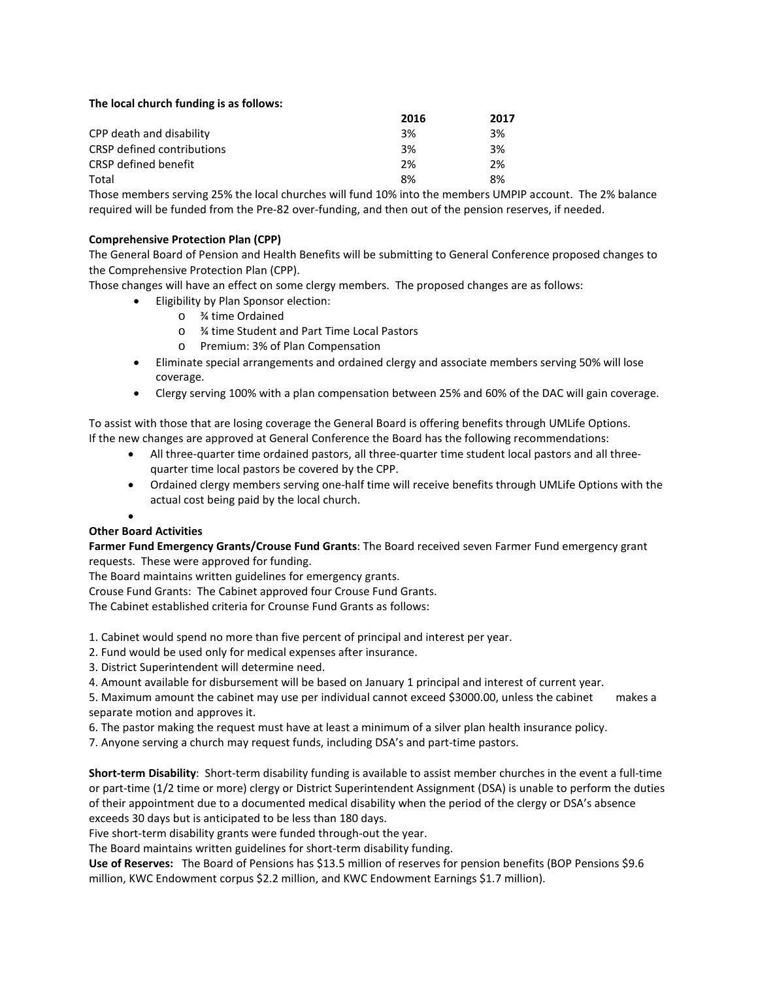## **The local church funding is as follows:**

|                            | 2016 | 2017 |
|----------------------------|------|------|
| CPP death and disability   | 3%   | 3%   |
| CRSP defined contributions | 3%   | 3%   |
| CRSP defined benefit       | 2%   | 2%   |
| Total                      | 8%   | 8%   |

Those members serving 25% the local churches will fund 10% into the members UMPIP account. The 2% balance required will be funded from the Pre-82 over-funding, and then out of the pension reserves, if needed.

## **Comprehensive Protection Plan (CPP)**

The General Board of Pension and Health Benefits will be submitting to General Conference proposed changes to the Comprehensive Protection Plan (CPP).

Those changes will have an effect on some clergy members. The proposed changes are as follows:

- Eligibility by Plan Sponsor election:
	- o ¾ time Ordained
		- o ¾ time Student and Part Time Local Pastors
		- o Premium: 3% of Plan Compensation
- Eliminate special arrangements and ordained clergy and associate members serving 50% will lose coverage.
- Clergy serving 100% with a plan compensation between 25% and 60% of the DAC will gain coverage.

To assist with those that are losing coverage the General Board is offering benefits through UMLife Options. If the new changes are approved at General Conference the Board has the following recommendations:

- All three-quarter time ordained pastors, all three-quarter time student local pastors and all threequarter time local pastors be covered by the CPP.
- Ordained clergy members serving one-half time will receive benefits through UMLife Options with the actual cost being paid by the local church.

#### •

# **Other Board Activities**

**Farmer Fund Emergency Grants/Crouse Fund Grants**: The Board received seven Farmer Fund emergency grant requests. These were approved for funding.

The Board maintains written guidelines for emergency grants.

Crouse Fund Grants: The Cabinet approved four Crouse Fund Grants.

The Cabinet established criteria for Crounse Fund Grants as follows:

1. Cabinet would spend no more than five percent of principal and interest per year.

2. Fund would be used only for medical expenses after insurance.

- 3. District Superintendent will determine need.
- 4. Amount available for disbursement will be based on January 1 principal and interest of current year.

5. Maximum amount the cabinet may use per individual cannot exceed \$3000.00, unless the cabinet makes a separate motion and approves it.

6. The pastor making the request must have at least a minimum of a silver plan health insurance policy.

7. Anyone serving a church may request funds, including DSA's and part-time pastors.

**Short-term Disability**: Short-term disability funding is available to assist member churches in the event a full-time or part-time (1/2 time or more) clergy or District Superintendent Assignment (DSA) is unable to perform the duties of their appointment due to a documented medical disability when the period of the clergy or DSA's absence exceeds 30 days but is anticipated to be less than 180 days.

Five short-term disability grants were funded through-out the year.

The Board maintains written guidelines for short-term disability funding.

**Use of Reserves:** The Board of Pensions has \$13.5 million of reserves for pension benefits (BOP Pensions \$9.6 million, KWC Endowment corpus \$2.2 million, and KWC Endowment Earnings \$1.7 million).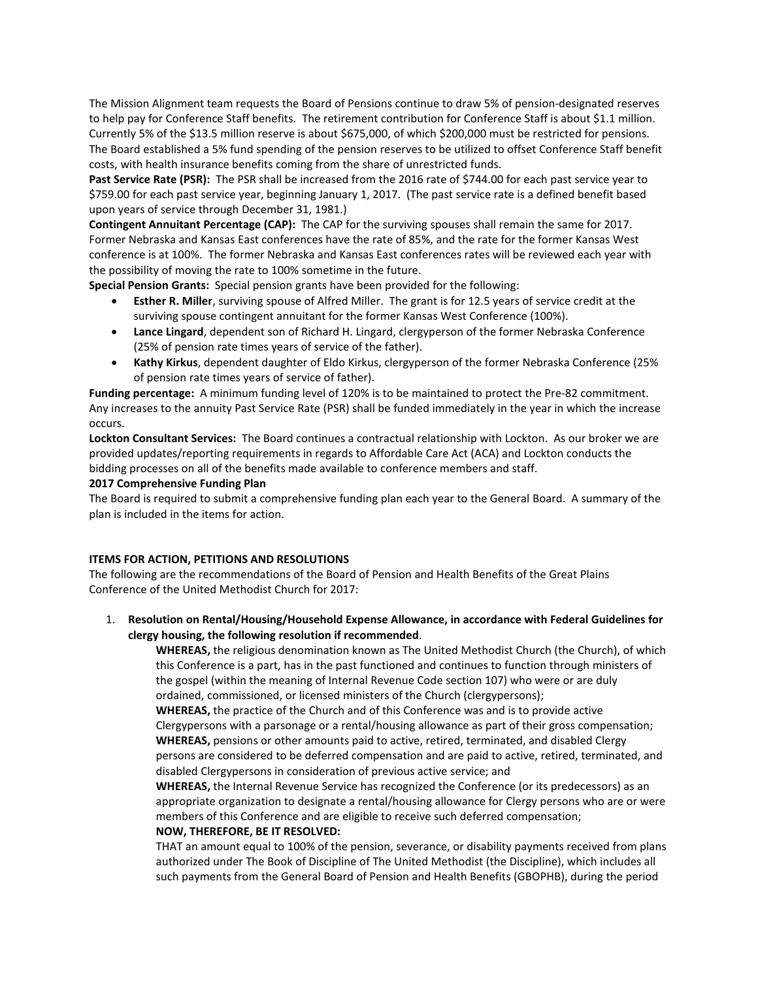The Mission Alignment team requests the Board of Pensions continue to draw 5% of pension-designated reserves to help pay for Conference Staff benefits. The retirement contribution for Conference Staff is about \$1.1 million. Currently 5% of the \$13.5 million reserve is about \$675,000, of which \$200,000 must be restricted for pensions. The Board established a 5% fund spending of the pension reserves to be utilized to offset Conference Staff benefit costs, with health insurance benefits coming from the share of unrestricted funds.

Past Service Rate (PSR): The PSR shall be increased from the 2016 rate of \$744.00 for each past service year to \$759.00 for each past service year, beginning January 1, 2017. (The past service rate is a defined benefit based upon years of service through December 31, 1981.)

**Contingent Annuitant Percentage (CAP):** The CAP for the surviving spouses shall remain the same for 2017. Former Nebraska and Kansas East conferences have the rate of 85%, and the rate for the former Kansas West conference is at 100%. The former Nebraska and Kansas East conferences rates will be reviewed each year with the possibility of moving the rate to 100% sometime in the future.

**Special Pension Grants:** Special pension grants have been provided for the following:

- **Esther R. Miller**, surviving spouse of Alfred Miller. The grant is for 12.5 years of service credit at the surviving spouse contingent annuitant for the former Kansas West Conference (100%).
- **Lance Lingard**, dependent son of Richard H. Lingard, clergyperson of the former Nebraska Conference (25% of pension rate times years of service of the father).
- **Kathy Kirkus**, dependent daughter of Eldo Kirkus, clergyperson of the former Nebraska Conference (25% of pension rate times years of service of father).

**Funding percentage:** A minimum funding level of 120% is to be maintained to protect the Pre-82 commitment. Any increases to the annuity Past Service Rate (PSR) shall be funded immediately in the year in which the increase occurs.

**Lockton Consultant Services:** The Board continues a contractual relationship with Lockton. As our broker we are provided updates/reporting requirements in regards to Affordable Care Act (ACA) and Lockton conducts the bidding processes on all of the benefits made available to conference members and staff.

## **2017 Comprehensive Funding Plan**

The Board is required to submit a comprehensive funding plan each year to the General Board. A summary of the plan is included in the items for action.

# **ITEMS FOR ACTION, PETITIONS AND RESOLUTIONS**

The following are the recommendations of the Board of Pension and Health Benefits of the Great Plains Conference of the United Methodist Church for 2017:

1. **Resolution on Rental/Housing/Household Expense Allowance, in accordance with Federal Guidelines for clergy housing, the following resolution if recommended**.

**WHEREAS,** the religious denomination known as The United Methodist Church (the Church), of which this Conference is a part, has in the past functioned and continues to function through ministers of the gospel (within the meaning of Internal Revenue Code section 107) who were or are duly ordained, commissioned, or licensed ministers of the Church (clergypersons);

**WHEREAS,** the practice of the Church and of this Conference was and is to provide active Clergypersons with a parsonage or a rental/housing allowance as part of their gross compensation; **WHEREAS,** pensions or other amounts paid to active, retired, terminated, and disabled Clergy persons are considered to be deferred compensation and are paid to active, retired, terminated, and disabled Clergypersons in consideration of previous active service; and

**WHEREAS,** the Internal Revenue Service has recognized the Conference (or its predecessors) as an appropriate organization to designate a rental/housing allowance for Clergy persons who are or were members of this Conference and are eligible to receive such deferred compensation;

# **NOW, THEREFORE, BE IT RESOLVED:**

THAT an amount equal to 100% of the pension, severance, or disability payments received from plans authorized under The Book of Discipline of The United Methodist (the Discipline), which includes all such payments from the General Board of Pension and Health Benefits (GBOPHB), during the period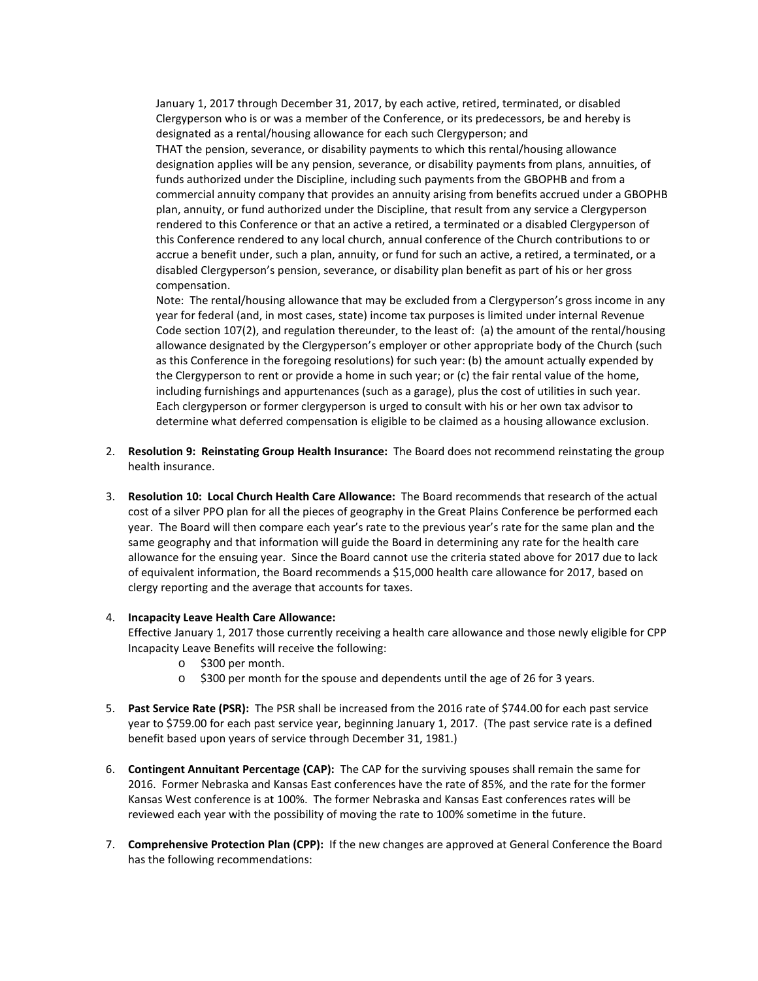January 1, 2017 through December 31, 2017, by each active, retired, terminated, or disabled Clergyperson who is or was a member of the Conference, or its predecessors, be and hereby is designated as a rental/housing allowance for each such Clergyperson; and

THAT the pension, severance, or disability payments to which this rental/housing allowance designation applies will be any pension, severance, or disability payments from plans, annuities, of funds authorized under the Discipline, including such payments from the GBOPHB and from a commercial annuity company that provides an annuity arising from benefits accrued under a GBOPHB plan, annuity, or fund authorized under the Discipline, that result from any service a Clergyperson rendered to this Conference or that an active a retired, a terminated or a disabled Clergyperson of this Conference rendered to any local church, annual conference of the Church contributions to or accrue a benefit under, such a plan, annuity, or fund for such an active, a retired, a terminated, or a disabled Clergyperson's pension, severance, or disability plan benefit as part of his or her gross compensation.

Note: The rental/housing allowance that may be excluded from a Clergyperson's gross income in any year for federal (and, in most cases, state) income tax purposes is limited under internal Revenue Code section 107(2), and regulation thereunder, to the least of: (a) the amount of the rental/housing allowance designated by the Clergyperson's employer or other appropriate body of the Church (such as this Conference in the foregoing resolutions) for such year: (b) the amount actually expended by the Clergyperson to rent or provide a home in such year; or (c) the fair rental value of the home, including furnishings and appurtenances (such as a garage), plus the cost of utilities in such year. Each clergyperson or former clergyperson is urged to consult with his or her own tax advisor to determine what deferred compensation is eligible to be claimed as a housing allowance exclusion.

- 2. **Resolution 9: Reinstating Group Health Insurance:** The Board does not recommend reinstating the group health insurance.
- 3. **Resolution 10: Local Church Health Care Allowance:** The Board recommends that research of the actual cost of a silver PPO plan for all the pieces of geography in the Great Plains Conference be performed each year. The Board will then compare each year's rate to the previous year's rate for the same plan and the same geography and that information will guide the Board in determining any rate for the health care allowance for the ensuing year. Since the Board cannot use the criteria stated above for 2017 due to lack of equivalent information, the Board recommends a \$15,000 health care allowance for 2017, based on clergy reporting and the average that accounts for taxes.

## 4. **Incapacity Leave Health Care Allowance:**

Effective January 1, 2017 those currently receiving a health care allowance and those newly eligible for CPP Incapacity Leave Benefits will receive the following:

- o \$300 per month.
- o \$300 per month for the spouse and dependents until the age of 26 for 3 years.
- 5. **Past Service Rate (PSR):** The PSR shall be increased from the 2016 rate of \$744.00 for each past service year to \$759.00 for each past service year, beginning January 1, 2017. (The past service rate is a defined benefit based upon years of service through December 31, 1981.)
- 6. **Contingent Annuitant Percentage (CAP):** The CAP for the surviving spouses shall remain the same for 2016. Former Nebraska and Kansas East conferences have the rate of 85%, and the rate for the former Kansas West conference is at 100%. The former Nebraska and Kansas East conferences rates will be reviewed each year with the possibility of moving the rate to 100% sometime in the future.
- 7. **Comprehensive Protection Plan (CPP):** If the new changes are approved at General Conference the Board has the following recommendations: